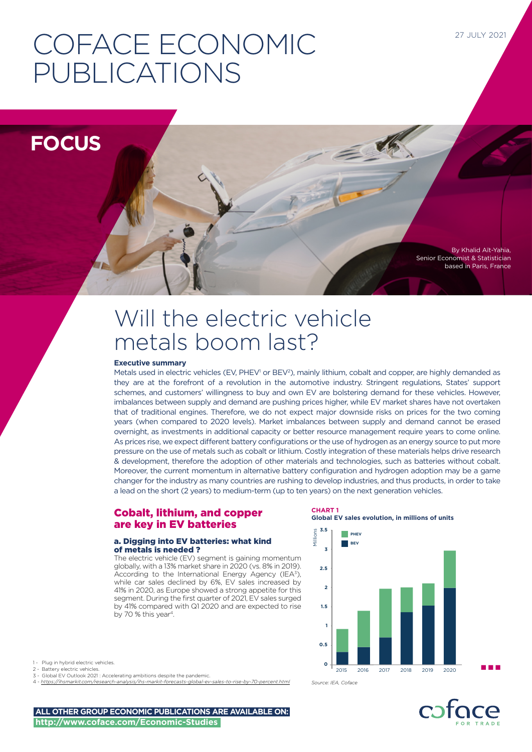# COFACE ECONOMIC PUBLICATIONS

**FOCUS**

By Khalid Aït-Yahia, Senior Economist & Statistician based in Paris, France

# Will the electric vehicle metals boom last?

# **Executive summary**

Metals used in electric vehicles (EV, PHEV<sup>1</sup> or BEV<sup>2</sup>), mainly lithium, cobalt and copper, are highly demanded as they are at the forefront of a revolution in the automotive industry. Stringent regulations, States' support schemes, and customers' willingness to buy and own EV are bolstering demand for these vehicles. However, imbalances between supply and demand are pushing prices higher, while EV market shares have not overtaken that of traditional engines. Therefore, we do not expect major downside risks on prices for the two coming years (when compared to 2020 levels). Market imbalances between supply and demand cannot be erased overnight, as investments in additional capacity or better resource management require years to come online. As prices rise, we expect different battery configurations or the use of hydrogen as an energy source to put more pressure on the use of metals such as cobalt or lithium. Costly integration of these materials helps drive research & development, therefore the adoption of other materials and technologies, such as batteries without cobalt. Moreover, the current momentum in alternative battery configuration and hydrogen adoption may be a game changer for the industry as many countries are rushing to develop industries, and thus products, in order to take a lead on the short (2 years) to medium-term (up to ten years) on the next generation vehicles.

# Cobalt, lithium, and copper are key in EV batteries

# a. Digging into EV batteries: what kind of metals is needed ?

The electric vehicle (EV) segment is gaining momentum globally, with a 13% market share in 2020 (vs. 8% in 2019). According to the International Energy Agency (IEA<sup>3</sup>), while car sales declined by 6%, EV sales increased by 41% in 2020, as Europe showed a strong appetite for this segment. During the first quarter of 2021, EV sales surged by 41% compared with Q1 2020 and are expected to rise by 70 % this year<sup>4</sup>.

**CHART 1 Global EV sales evolution, in millions of units**

三美



1 - Plug in hybrid electric vehicles.

- 2 Battery electric vehicles.
- 3 Global EV Outlook 2021 : Accelerating ambitions despite the pandemic. 4 - *<https://ihsmarkit.com/research-analysis/ihs-markit-forecasts-global-ev-sales-to-rise-by-70-percent.html>*

*Source: IEA, Coface*



**ALL OTHER GROUP ECONOMIC PUBLICATIONS ARE AVAILABLE ON: http://www.coface.com/Economic-Studies**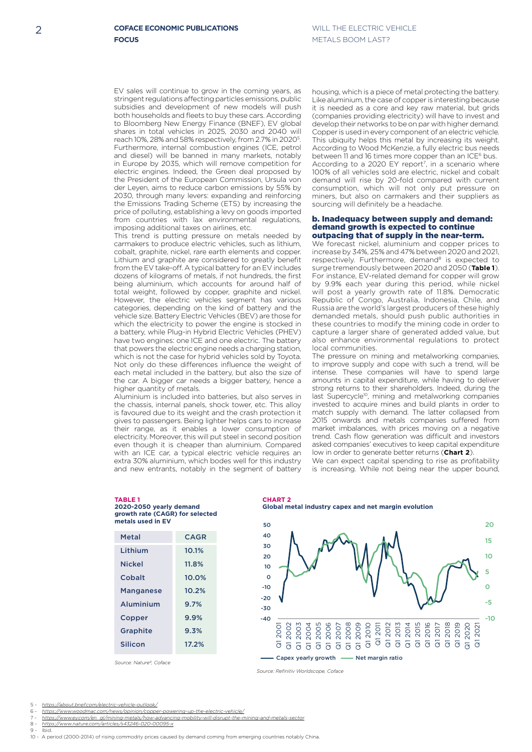EV sales will continue to grow in the coming years, as stringent regulations affecting particles emissions, public subsidies and development of new models will push both households and fleets to buy these cars. According to Bloomberg New Energy Finance (BNEF), EV global shares in total vehicles in 2025, 2030 and 2040 will reach 10%, 28% and 58% respectively, from 2.7% in 20205. Furthermore, internal combustion engines (ICE, petrol and diesel) will be banned in many markets, notably in Europe by 2035, which will remove competition for electric engines. Indeed, the Green deal proposed by the President of the European Commission, Ursula von der Leyen, aims to reduce carbon emissions by 55% by 2030, through many levers: expanding and reinforcing the Emissions Trading Scheme (ETS) by increasing the price of polluting, establishing a levy on goods imported from countries with lax environmental regulations, imposing additional taxes on airlines, etc.

This trend is putting pressure on metals needed by carmakers to produce electric vehicles, such as lithium, cobalt, graphite, nickel, rare earth elements and copper. Lithium and graphite are considered to greatly benefit from the EV take-off. A typical battery for an EV includes dozens of kilograms of metals, if not hundreds, the first being aluminium, which accounts for around half of total weight, followed by copper, graphite and nickel. However, the electric vehicles segment has various categories, depending on the kind of battery and the vehicle size. Battery Electric Vehicles (BEV) are those for which the electricity to power the engine is stocked in a battery, while Plug-in Hybrid Electric Vehicles (PHEV) have two engines: one ICE and one electric. The battery that powers the electric engine needs a charging station, which is not the case for hybrid vehicles sold by Toyota. Not only do these differences influence the weight of each metal included in the battery, but also the size of the car. A bigger car needs a bigger battery, hence a higher quantity of metals.

Aluminium is included into batteries, but also serves in the chassis, internal panels, shock tower, etc. This alloy is favoured due to its weight and the crash protection it gives to passengers. Being lighter helps cars to increase their range, as it enables a lower consumption of electricity. Moreover, this will put steel in second position even though it is cheaper than aluminium. Compared with an ICE car, a typical electric vehicle requires an extra 30% aluminium, which bodes well for this industry and new entrants, notably in the segment of battery housing, which is a piece of metal protecting the battery. Like aluminium, the case of copper is interesting because it is needed as a core and key raw material, but grids (companies providing electricity) will have to invest and develop their networks to be on par with higher demand. Copper is used in every component of an electric vehicle. This ubiquity helps this metal by increasing its weight. According to Wood McKenzie, a fully electric bus needs between 11 and 16 times more copper than an ICE<sup>6</sup> bus. According to a 2020 EY report<sup>7</sup>, in a scenario where 100% of all vehicles sold are electric, nickel and cobalt demand will rise by 20-fold compared with current consumption, which will not only put pressure on miners, but also on carmakers and their suppliers as sourcing will definitely be a headache.

#### b. Inadequacy between supply and demand: demand growth is expected to continue outpacing that of supply in the near-term.

We forecast nickel, aluminium and copper prices to increase by 34%, 25% and 47% between 2020 and 2021, respectively. Furthermore, demand<sup>8</sup> is expected to surge tremendously between 2020 and 2050 (**Table 1**). For instance, EV-related demand for copper will grow by 9.9% each year during this period, while nickel will post a yearly growth rate of 11.8%. Democratic Republic of Congo, Australia, Indonesia, Chile, and Russia are the world's largest producers of these highly demanded metals, should push public authorities in these countries to modify the mining code in order to capture a larger share of generated added value, but also enhance environmental regulations to protect local communities.

The pressure on mining and metalworking companies, to improve supply and cope with such a trend, will be intense. These companies will have to spend large amounts in capital expenditure, while having to deliver strong returns to their shareholders. Indeed, during the last Supercycle<sup>10</sup>, mining and metalworking companies invested to acquire mines and build plants in order to match supply with demand. The latter collapsed from 2015 onwards and metals companies suffered from market imbalances, with prices moving on a negative trend. Cash flow generation was difficult and investors asked companies' executives to keep capital expenditure low in order to generate better returns (**Chart 2**).

We can expect capital spending to rise as profitability is increasing. While not being near the upper bound,

| growth rate (CAGR) for selected<br>metals used in EV |             |
|------------------------------------------------------|-------------|
| Metal                                                | <b>CAGR</b> |
| Lithium                                              | 10.1%       |
| <b>Nickel</b>                                        | 11.8%       |
| Cobalt                                               | 10.0%       |
| <b>Manganese</b>                                     | 10.2%       |
| Aluminium                                            | 9.7%        |
| Copper                                               | 9.9%        |
| <b>Graphite</b>                                      | 9.3%        |
| Silicon                                              | 17.2%       |

**2020-2050 yearly demand** 

*Source: Nature9, Coface*

**Global metal industry capex and net margin evolution**



*Source: Refinitiv Worldscope, Coface*

**CHART 2**

- 5 *https://about.bnef.com/electric-vehicle-outlook/* **800**
- 6 *https://www.woodmac.com/news/opinion/copper-*

**TABLE 1**

- 7 *[https://www.ey.com/en\\_gl/mining-metals/how-advancing-mobility-will-disrupt-the-mining-and-metals-sector](https://www.ey.com/en_gl/mining-metals/how-advancing-mobility-will-disrupt-the-mining-and-metals-sec)* **668 700**
- 8 *<https://www.nature.com/articles/s43246-020-00095-x>* **593** 9 - Ibid. **600**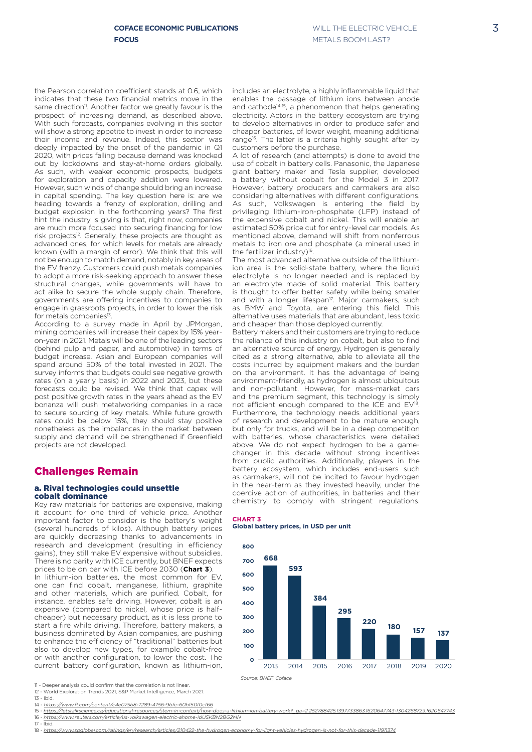the Pearson correlation coefficient stands at 0.6, which indicates that these two financial metrics move in the same direction<sup>11</sup>. Another factor we greatly favour is the prospect of increasing demand, as described above. With such forecasts, companies evolving in this sector will show a strong appetite to invest in order to increase their income and revenue. Indeed, this sector was deeply impacted by the onset of the pandemic in Q1 2020, with prices falling because demand was knocked out by lockdowns and stay-at-home orders globally. As such, with weaker economic prospects, budgets for exploration and capacity addition were lowered. However, such winds of change should bring an increase in capital spending. The key question here is: are we heading towards a frenzy of exploration, drilling and budget explosion in the forthcoming years? The first hint the industry is giving is that, right now, companies are much more focused into securing financing for low risk projects<sup>12</sup>. Generally, these projects are thought as advanced ones, for which levels for metals are already known (with a margin of error). We think that this will not be enough to match demand, notably in key areas of the EV frenzy. Customers could push metals companies to adopt a more risk-seeking approach to answer these structural changes, while governments will have to act alike to secure the whole supply chain. Therefore, governments are offering incentives to companies to engage in grassroots projects, in order to lower the risk for metals companies<sup>13</sup>.

According to a survey made in April by JPMorgan, mining companies will increase their capex by 15% yearon-year in 2021. Metals will be one of the leading sectors (behind pulp and paper, and automotive) in terms of budget increase. Asian and European companies will spend around 50% of the total invested in 2021. The survey informs that budgets could see negative growth rates (on a yearly basis) in 2022 and 2023, but these forecasts could be revised. We think that capex will post positive growth rates in the years ahead as the EV bonanza will push metalworking companies in a race to secure sourcing of key metals. While future growth rates could be below 15%, they should stay positive nonetheless as the imbalances in the market between supply and demand will be strengthened if Greenfield projects are not developed.

# Challenges Remain

# a. Rival technologies could unsettle cobalt dominance

Key raw materials for batteries are expensive, making it account for one third of vehicle price. Another important factor to consider is the battery's weight (several hundreds of kilos). Although battery prices are quickly decreasing thanks to advancements in research and development (resulting in efficiency gains), they still make EV expensive without subsidies. There is no parity with ICE currently, but BNEF expects prices to be on par with ICE before 2030 (**Chart 3**).

In lithium-ion batteries, the most common for EV, one can find cobalt, manganese, lithium, graphite and other materials, which are purified. Cobalt, for instance, enables safe driving. However, cobalt is an expensive (compared to nickel, whose price is halfcheaper) but necessary product, as it is less prone to start a fire while driving. Therefore, battery makers, a business dominated by Asian companies, are pushing to enhance the efficiency of "traditional" batteries but also to develop new types, for example cobalt-free or with another configuration, to lower the cost. The current battery configuration, known as lithium-ion,

- 12 World Exploration Trends 2021, S&P Market Intelligence, March 2021.
- 13 Ibid.
- 14 *<https://www.ft.com/content/c4e075b8-7289-4756-9bfe-60bf50f0cf66>*
- 15 *[https://letstalkscience.ca/educational-resources/stem-in-context/how-does-a-lithium-ion-battery-work?\\_ga=2.252788425.1397733863.1620647743-1304268729.1620647743](https://letstalkscience.ca/educational-resources/stem-in-context/how-does-a-lithium-ion-battery-work)*
- 16 *[https://www.reuters.com/article/us-volkswagen-electric-ahome-idUSKBN2BG2MN](https://www.reuters.com/article/us-volkswagen-electric-ahome-idUSKBN2BG2MN )*
- 17 Ibid. 18 - *[https://www.spglobal.com/ratings/en/research/articles/210422-the-hydrogen-economy-for-light-vehicles-hydrogen-is-not-for-this-decade-11911374](https://www.spglobal.com/ratings/en/research/articles/210422-the-hydrogen-economy-for-light-vehicles)*

includes an electrolyte, a highly inflammable liquid that enables the passage of lithium ions between anode and cathode<sup>14-15</sup>, a phenomenon that helps generating electricity. Actors in the battery ecosystem are trying to develop alternatives in order to produce safer and cheaper batteries, of lower weight, meaning additional range<sup>16</sup>. The latter is a criteria highly sought after by customers before the purchase.

A lot of research (and attempts) is done to avoid the use of cobalt in battery cells. Panasonic, the Japanese giant battery maker and Tesla supplier, developed a battery without cobalt for the Model 3 in 2017. However, battery producers and carmakers are also considering alternatives with different configurations. As such, Volkswagen is entering the field by privileging lithium-iron-phosphate (LFP) instead of the expensive cobalt and nickel. This will enable an estimated 50% price cut for entry-level car models. As mentioned above, demand will shift from nonferrous metals to iron ore and phosphate (a mineral used in the fertilizer industry)<sup>16</sup>.

**3.5** as BMW and Toyota, are entering this field. This alternative uses materials that are abundant, less toxic<br>and cheaper than those deployed currently.<br>Batter updragant hoise deployed currently. The most advanced alternative outside of the lithiumion area is the solid-state battery, where the liquid electrolyte is no longer needed and is replaced by an electrolyte made of solid material. This battery is thought to offer better safety while being smaller and with a longer lifespan<sup>17</sup>. Major carmakers, such and cheaper than those deployed currently.

**0** as carmakers, will not be incited to favour hydrogen **0.5** changer in this decade without strong incentives **1** but only for trucks, and will be in a deep competition not efficient enough compared to the ICE and EV<sup>18</sup>. **2** environment-friendly, as hydrogen is almost ubiquitous **2.5** cited as a strong alternative, able to alleviate all the **3** the reliance of this industry on cobalt, but also to find in the near-term as they invested heavily, under the and oneaper than those deproyed carrently.<br>Battery makers and their customers are trying to reduce an alternative source of energy. Hydrogen is generally costs incurred by equipment makers and the burden on the environment. It has the advantage of being and non-pollutant. However, for mass-market cars and the premium segment, this technology is simply Furthermore, the technology needs additional years of research and development to be mature enough, with batteries, whose characteristics were detailed above. We do not expect hydrogen to be a gamefrom public authorities. Additionally, players in the battery ecosystem, which includes end-users such coercive action of authorities, in batteries and their chemistry to comply with stringent regulations.

#### **CHART 3 Global battery prices, in USD per unit**



*Source; BNEF, Coface*

<sup>11 -</sup> Deeper analysis could confirm that the correlation is not linear.